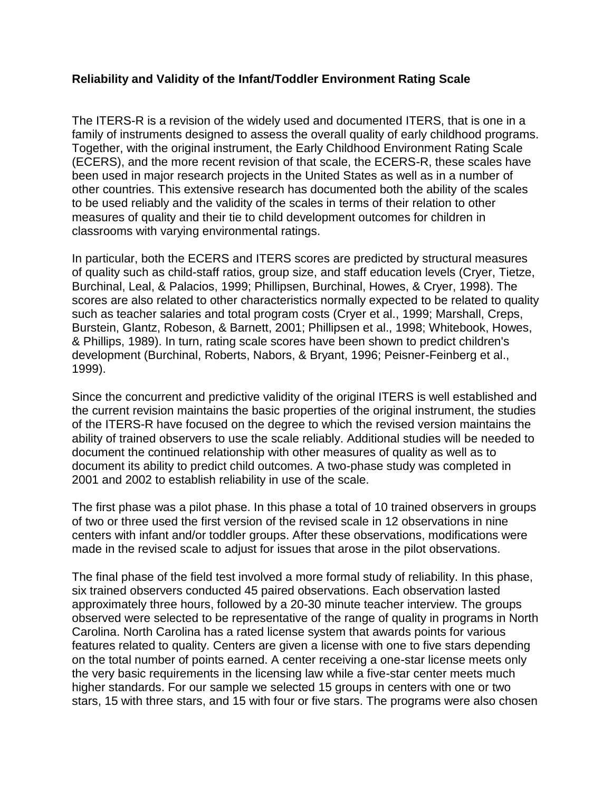## **Reliability and Validity of the Infant/Toddler Environment Rating Scale**

The ITERS-R is a revision of the widely used and documented ITERS, that is one in a family of instruments designed to assess the overall quality of early childhood programs. Together, with the original instrument, the Early Childhood Environment Rating Scale (ECERS), and the more recent revision of that scale, the ECERS-R, these scales have been used in major research projects in the United States as well as in a number of other countries. This extensive research has documented both the ability of the scales to be used reliably and the validity of the scales in terms of their relation to other measures of quality and their tie to child development outcomes for children in classrooms with varying environmental ratings.

In particular, both the ECERS and ITERS scores are predicted by structural measures of quality such as child-staff ratios, group size, and staff education levels (Cryer, Tietze, Burchinal, Leal, & Palacios, 1999; Phillipsen, Burchinal, Howes, & Cryer, 1998). The scores are also related to other characteristics normally expected to be related to quality such as teacher salaries and total program costs (Cryer et al., 1999; Marshall, Creps, Burstein, Glantz, Robeson, & Barnett, 2001; Phillipsen et al., 1998; Whitebook, Howes, & Phillips, 1989). In turn, rating scale scores have been shown to predict children's development (Burchinal, Roberts, Nabors, & Bryant, 1996; Peisner-Feinberg et al., 1999).

Since the concurrent and predictive validity of the original ITERS is well established and the current revision maintains the basic properties of the original instrument, the studies of the ITERS-R have focused on the degree to which the revised version maintains the ability of trained observers to use the scale reliably. Additional studies will be needed to document the continued relationship with other measures of quality as well as to document its ability to predict child outcomes. A two-phase study was completed in 2001 and 2002 to establish reliability in use of the scale.

The first phase was a pilot phase. In this phase a total of 10 trained observers in groups of two or three used the first version of the revised scale in 12 observations in nine centers with infant and/or toddler groups. After these observations, modifications were made in the revised scale to adjust for issues that arose in the pilot observations.

The final phase of the field test involved a more formal study of reliability. In this phase, six trained observers conducted 45 paired observations. Each observation lasted approximately three hours, followed by a 20-30 minute teacher interview. The groups observed were selected to be representative of the range of quality in programs in North Carolina. North Carolina has a rated license system that awards points for various features related to quality. Centers are given a license with one to five stars depending on the total number of points earned. A center receiving a one-star license meets only the very basic requirements in the licensing law while a five-star center meets much higher standards. For our sample we selected 15 groups in centers with one or two stars, 15 with three stars, and 15 with four or five stars. The programs were also chosen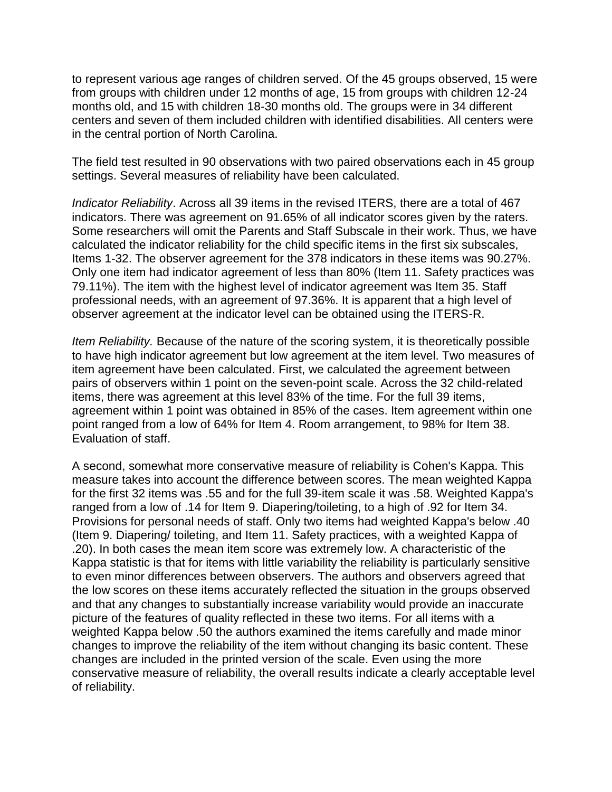to represent various age ranges of children served. Of the 45 groups observed, 15 were from groups with children under 12 months of age, 15 from groups with children 12-24 months old, and 15 with children 18-30 months old. The groups were in 34 different centers and seven of them included children with identified disabilities. All centers were in the central portion of North Carolina.

The field test resulted in 90 observations with two paired observations each in 45 group settings. Several measures of reliability have been calculated.

*Indicator Reliability*. Across all 39 items in the revised ITERS, there are a total of 467 indicators. There was agreement on 91.65% of all indicator scores given by the raters. Some researchers will omit the Parents and Staff Subscale in their work. Thus, we have calculated the indicator reliability for the child specific items in the first six subscales, Items 1-32. The observer agreement for the 378 indicators in these items was 90.27%. Only one item had indicator agreement of less than 80% (Item 11. Safety practices was 79.11%). The item with the highest level of indicator agreement was Item 35. Staff professional needs, with an agreement of 97.36%. It is apparent that a high level of observer agreement at the indicator level can be obtained using the ITERS-R.

*Item Reliability.* Because of the nature of the scoring system, it is theoretically possible to have high indicator agreement but low agreement at the item level. Two measures of item agreement have been calculated. First, we calculated the agreement between pairs of observers within 1 point on the seven-point scale. Across the 32 child-related items, there was agreement at this level 83% of the time. For the full 39 items, agreement within 1 point was obtained in 85% of the cases. Item agreement within one point ranged from a low of 64% for Item 4. Room arrangement, to 98% for Item 38. Evaluation of staff.

A second, somewhat more conservative measure of reliability is Cohen's Kappa. This measure takes into account the difference between scores. The mean weighted Kappa for the first 32 items was .55 and for the full 39-item scale it was .58. Weighted Kappa's ranged from a low of .14 for Item 9. Diapering/toileting, to a high of .92 for Item 34. Provisions for personal needs of staff. Only two items had weighted Kappa's below .40 (Item 9. Diapering/ toileting, and Item 11. Safety practices, with a weighted Kappa of .20). In both cases the mean item score was extremely low. A characteristic of the Kappa statistic is that for items with little variability the reliability is particularly sensitive to even minor differences between observers. The authors and observers agreed that the low scores on these items accurately reflected the situation in the groups observed and that any changes to substantially increase variability would provide an inaccurate picture of the features of quality reflected in these two items. For all items with a weighted Kappa below .50 the authors examined the items carefully and made minor changes to improve the reliability of the item without changing its basic content. These changes are included in the printed version of the scale. Even using the more conservative measure of reliability, the overall results indicate a clearly acceptable level of reliability.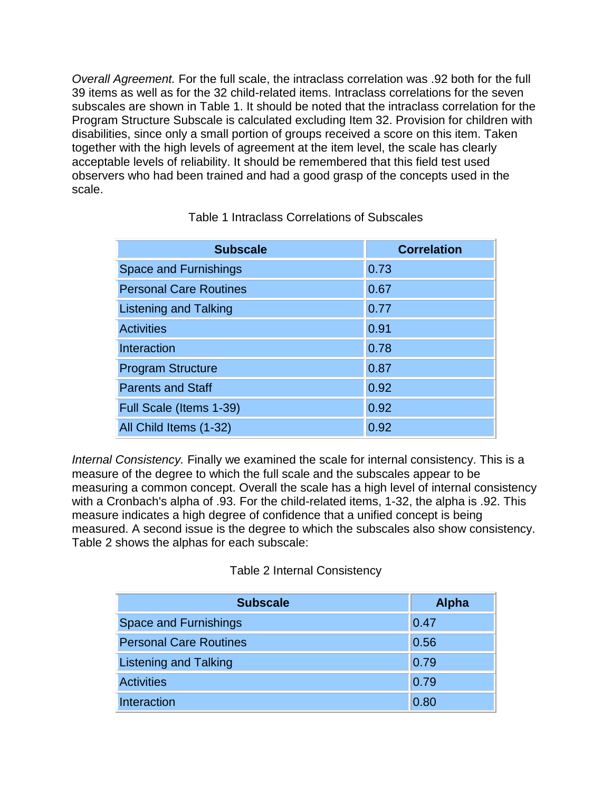*Overall Agreement.* For the full scale, the intraclass correlation was .92 both for the full 39 items as well as for the 32 child-related items. Intraclass correlations for the seven subscales are shown in Table 1. It should be noted that the intraclass correlation for the Program Structure Subscale is calculated excluding Item 32. Provision for children with disabilities, since only a small portion of groups received a score on this item. Taken together with the high levels of agreement at the item level, the scale has clearly acceptable levels of reliability. It should be remembered that this field test used observers who had been trained and had a good grasp of the concepts used in the scale.

| <b>Subscale</b>               | <b>Correlation</b> |
|-------------------------------|--------------------|
| <b>Space and Furnishings</b>  | 0.73               |
| <b>Personal Care Routines</b> | 0.67               |
| <b>Listening and Talking</b>  | 0.77               |
| <b>Activities</b>             | 0.91               |
| Interaction                   | 0.78               |
| <b>Program Structure</b>      | 0.87               |
| <b>Parents and Staff</b>      | 0.92               |
| Full Scale (Items 1-39)       | 0.92               |
| All Child Items (1-32)        | 0.92               |

## Table 1 Intraclass Correlations of Subscales

*Internal Consistency.* Finally we examined the scale for internal consistency. This is a measure of the degree to which the full scale and the subscales appear to be measuring a common concept. Overall the scale has a high level of internal consistency with a Cronbach's alpha of .93. For the child-related items, 1-32, the alpha is .92. This measure indicates a high degree of confidence that a unified concept is being measured. A second issue is the degree to which the subscales also show consistency. Table 2 shows the alphas for each subscale:

## Table 2 Internal Consistency

| <b>Subscale</b>               | <b>Alpha</b> |
|-------------------------------|--------------|
| <b>Space and Furnishings</b>  | 0.47         |
| <b>Personal Care Routines</b> | 0.56         |
| <b>Listening and Talking</b>  | 0.79         |
| <b>Activities</b>             | 0.79         |
| Interaction                   | 0.80         |